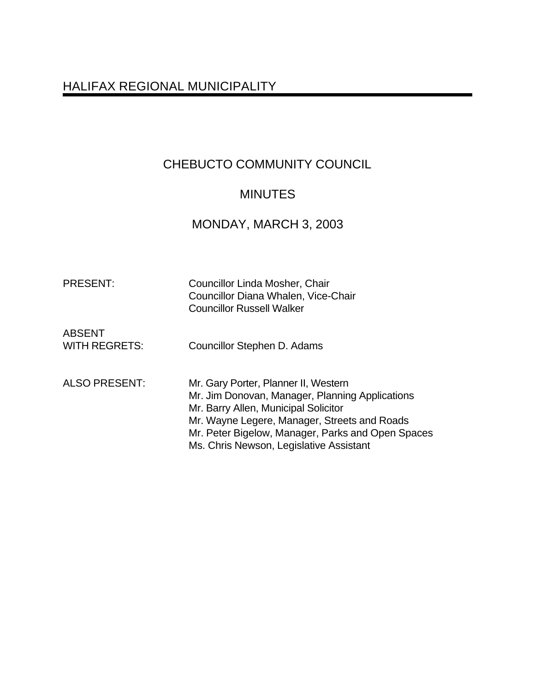# HALIFAX REGIONAL MUNICIPALITY

# CHEBUCTO COMMUNITY COUNCIL

# MINUTES

# MONDAY, MARCH 3, 2003

| <b>PRESENT:</b>                       | <b>Councillor Linda Mosher, Chair</b><br>Councillor Diana Whalen, Vice-Chair<br><b>Councillor Russell Walker</b>                                                                                                                                                                |
|---------------------------------------|---------------------------------------------------------------------------------------------------------------------------------------------------------------------------------------------------------------------------------------------------------------------------------|
| <b>ABSENT</b><br><b>WITH REGRETS:</b> | Councillor Stephen D. Adams                                                                                                                                                                                                                                                     |
| <b>ALSO PRESENT:</b>                  | Mr. Gary Porter, Planner II, Western<br>Mr. Jim Donovan, Manager, Planning Applications<br>Mr. Barry Allen, Municipal Solicitor<br>Mr. Wayne Legere, Manager, Streets and Roads<br>Mr. Peter Bigelow, Manager, Parks and Open Spaces<br>Ms. Chris Newson, Legislative Assistant |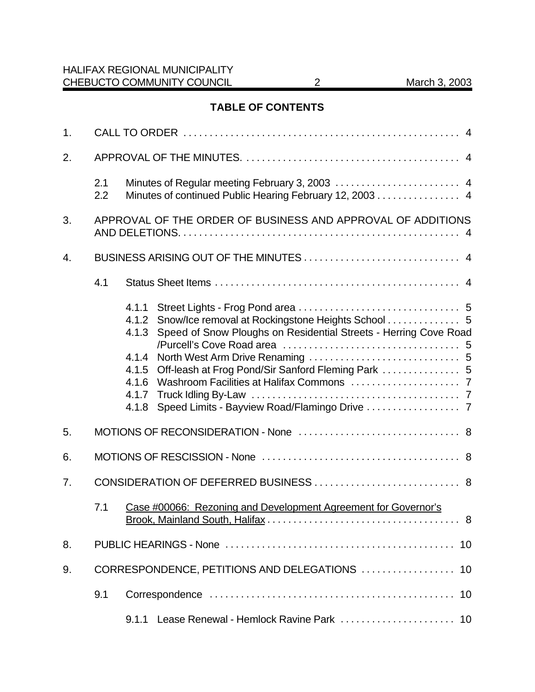# **TABLE OF CONTENTS**

| 1. |            |                                                                                                                                                                                                |
|----|------------|------------------------------------------------------------------------------------------------------------------------------------------------------------------------------------------------|
| 2. |            |                                                                                                                                                                                                |
|    | 2.1<br>2.2 | Minutes of continued Public Hearing February 12, 2003 4                                                                                                                                        |
| 3. |            | APPROVAL OF THE ORDER OF BUSINESS AND APPROVAL OF ADDITIONS                                                                                                                                    |
| 4. |            |                                                                                                                                                                                                |
|    | 4.1        |                                                                                                                                                                                                |
|    |            | 4.1.1<br>4.1.2<br>Speed of Snow Ploughs on Residential Streets - Herring Cove Road<br>4.1.3<br>4.1.4<br>Off-leash at Frog Pond/Sir Sanford Fleming Park  5<br>4.1.5<br>4.1.6<br>4.1.7<br>4.1.8 |
| 5. |            |                                                                                                                                                                                                |
| 6. |            |                                                                                                                                                                                                |
| 7. |            |                                                                                                                                                                                                |
|    | 7.1        | Case #00066: Rezoning and Development Agreement for Governor's<br>. 8                                                                                                                          |
| 8. |            | 10                                                                                                                                                                                             |
| 9. |            |                                                                                                                                                                                                |
|    | 9.1        |                                                                                                                                                                                                |
|    |            | 9.1.1                                                                                                                                                                                          |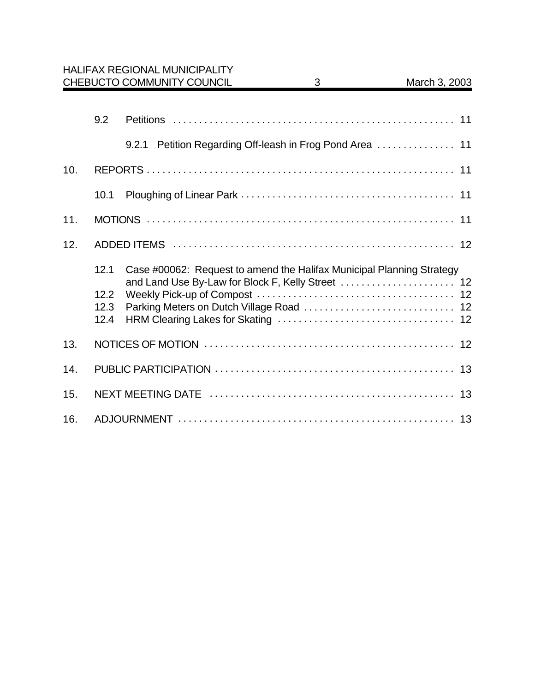|     |                              | <b>HALIFAX REGIONAL MUNICIPALITY</b><br>CHEBUCTO COMMUNITY COUNCIL    | 3 | March 3, 2003 |
|-----|------------------------------|-----------------------------------------------------------------------|---|---------------|
|     | 9.2                          | 9.2.1 Petition Regarding Off-leash in Frog Pond Area  11              |   |               |
| 10. |                              |                                                                       |   |               |
|     | 10.1                         |                                                                       |   |               |
| 11. |                              |                                                                       |   |               |
| 12. |                              |                                                                       |   |               |
|     | 12.1<br>12.2<br>12.3<br>12.4 | Case #00062: Request to amend the Halifax Municipal Planning Strategy |   |               |
| 13. |                              |                                                                       |   |               |
| 14. |                              |                                                                       |   |               |
| 15. |                              |                                                                       |   |               |
| 16. |                              |                                                                       |   |               |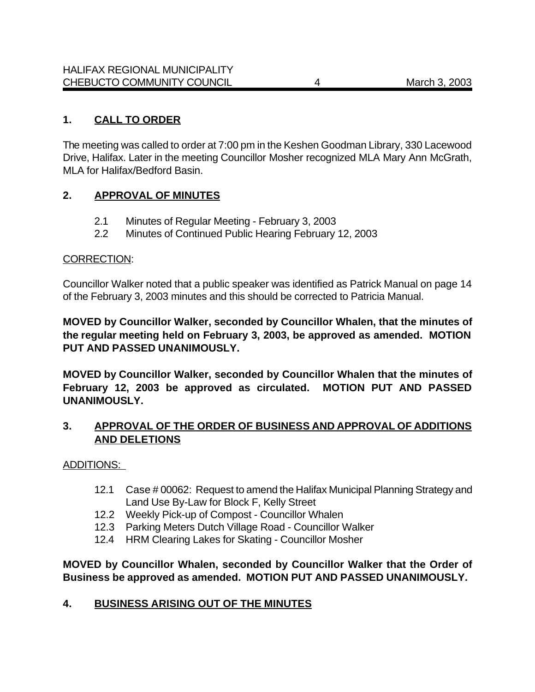### **1. CALL TO ORDER**

The meeting was called to order at 7:00 pm in the Keshen Goodman Library, 330 Lacewood Drive, Halifax. Later in the meeting Councillor Mosher recognized MLA Mary Ann McGrath, MLA for Halifax/Bedford Basin.

### **2. APPROVAL OF MINUTES**

- 2.1 Minutes of Regular Meeting February 3, 2003
- 2.2 Minutes of Continued Public Hearing February 12, 2003

#### CORRECTION:

Councillor Walker noted that a public speaker was identified as Patrick Manual on page 14 of the February 3, 2003 minutes and this should be corrected to Patricia Manual.

**MOVED by Councillor Walker, seconded by Councillor Whalen, that the minutes of the regular meeting held on February 3, 2003, be approved as amended. MOTION PUT AND PASSED UNANIMOUSLY.**

**MOVED by Councillor Walker, seconded by Councillor Whalen that the minutes of February 12, 2003 be approved as circulated. MOTION PUT AND PASSED UNANIMOUSLY.**

### **3. APPROVAL OF THE ORDER OF BUSINESS AND APPROVAL OF ADDITIONS AND DELETIONS**

ADDITIONS:

- 12.1 Case # 00062: Request to amend the Halifax Municipal Planning Strategy and Land Use By-Law for Block F, Kelly Street
- 12.2 Weekly Pick-up of Compost Councillor Whalen
- 12.3 Parking Meters Dutch Village Road Councillor Walker
- 12.4 HRM Clearing Lakes for Skating Councillor Mosher

**MOVED by Councillor Whalen, seconded by Councillor Walker that the Order of Business be approved as amended. MOTION PUT AND PASSED UNANIMOUSLY.**

#### **4. BUSINESS ARISING OUT OF THE MINUTES**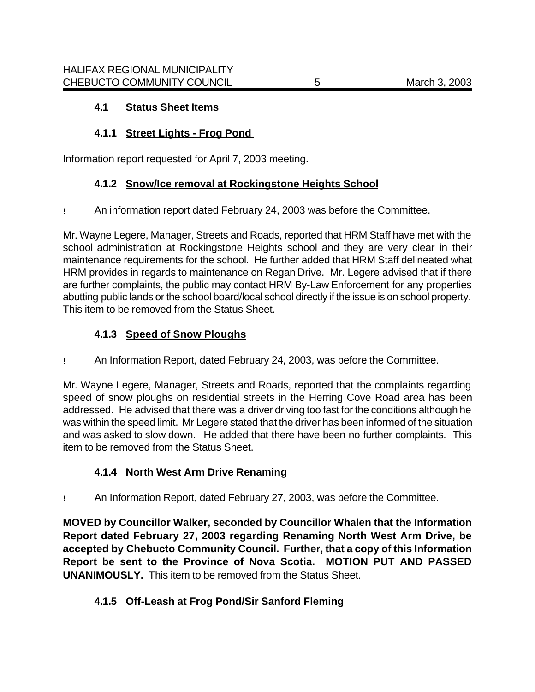# **4.1 Status Sheet Items**

# **4.1.1 Street Lights - Frog Pond**

Information report requested for April 7, 2003 meeting.

# **4.1.2 Snow/Ice removal at Rockingstone Heights School**

! An information report dated February 24, 2003 was before the Committee.

Mr. Wayne Legere, Manager, Streets and Roads, reported that HRM Staff have met with the school administration at Rockingstone Heights school and they are very clear in their maintenance requirements for the school. He further added that HRM Staff delineated what HRM provides in regards to maintenance on Regan Drive. Mr. Legere advised that if there are further complaints, the public may contact HRM By-Law Enforcement for any properties abutting public lands or the school board/local school directly if the issue is on school property. This item to be removed from the Status Sheet.

# **4.1.3 Speed of Snow Ploughs**

! An Information Report, dated February 24, 2003, was before the Committee.

Mr. Wayne Legere, Manager, Streets and Roads, reported that the complaints regarding speed of snow ploughs on residential streets in the Herring Cove Road area has been addressed. He advised that there was a driver driving too fast for the conditions although he was within the speed limit. Mr Legere stated that the driver has been informed of the situation and was asked to slow down. He added that there have been no further complaints. This item to be removed from the Status Sheet.

# **4.1.4 North West Arm Drive Renaming**

! An Information Report, dated February 27, 2003, was before the Committee.

**MOVED by Councillor Walker, seconded by Councillor Whalen that the Information Report dated February 27, 2003 regarding Renaming North West Arm Drive, be accepted by Chebucto Community Council. Further, that a copy of this Information Report be sent to the Province of Nova Scotia. MOTION PUT AND PASSED UNANIMOUSLY.** This item to be removed from the Status Sheet.

# **4.1.5 Off-Leash at Frog Pond/Sir Sanford Fleming**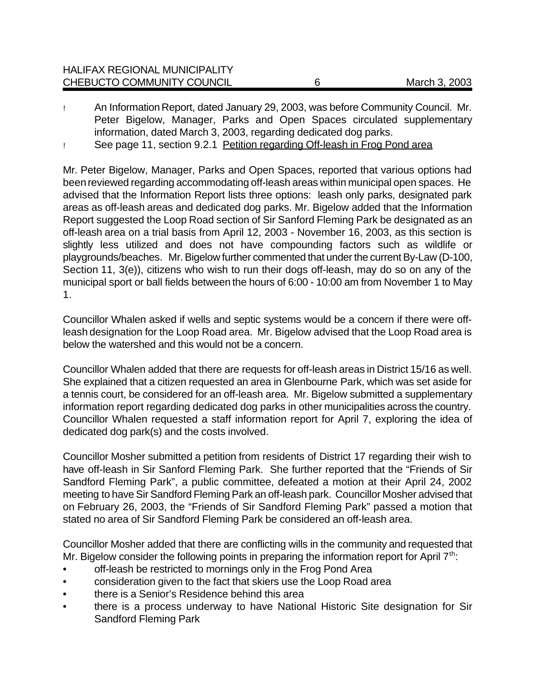| CHEBUCTO COMMUNITY COUNCIL           | March 3, 2003 |
|--------------------------------------|---------------|
| <b>HALIFAX REGIONAL MUNICIPALITY</b> |               |

! An Information Report, dated January 29, 2003, was before Community Council. Mr. Peter Bigelow, Manager, Parks and Open Spaces circulated supplementary information, dated March 3, 2003, regarding dedicated dog parks.

! See page 11, section 9.2.1 Petition regarding Off-leash in Frog Pond area

Mr. Peter Bigelow, Manager, Parks and Open Spaces, reported that various options had been reviewed regarding accommodating off-leash areas within municipal open spaces. He advised that the Information Report lists three options: leash only parks, designated park areas as off-leash areas and dedicated dog parks. Mr. Bigelow added that the Information Report suggested the Loop Road section of Sir Sanford Fleming Park be designated as an off-leash area on a trial basis from April 12, 2003 - November 16, 2003, as this section is slightly less utilized and does not have compounding factors such as wildlife or playgrounds/beaches. Mr. Bigelow further commented that under the current By-Law (D-100, Section 11, 3(e)), citizens who wish to run their dogs off-leash, may do so on any of the municipal sport or ball fields between the hours of 6:00 - 10:00 am from November 1 to May 1.

Councillor Whalen asked if wells and septic systems would be a concern if there were offleash designation for the Loop Road area. Mr. Bigelow advised that the Loop Road area is below the watershed and this would not be a concern.

Councillor Whalen added that there are requests for off-leash areas in District 15/16 as well. She explained that a citizen requested an area in Glenbourne Park, which was set aside for a tennis court, be considered for an off-leash area. Mr. Bigelow submitted a supplementary information report regarding dedicated dog parks in other municipalities across the country. Councillor Whalen requested a staff information report for April 7, exploring the idea of dedicated dog park(s) and the costs involved.

Councillor Mosher submitted a petition from residents of District 17 regarding their wish to have off-leash in Sir Sanford Fleming Park. She further reported that the "Friends of Sir Sandford Fleming Park", a public committee, defeated a motion at their April 24, 2002 meeting to have Sir Sandford Fleming Park an off-leash park. Councillor Mosher advised that on February 26, 2003, the "Friends of Sir Sandford Fleming Park" passed a motion that stated no area of Sir Sandford Fleming Park be considered an off-leash area.

Councillor Mosher added that there are conflicting wills in the community and requested that Mr. Bigelow consider the following points in preparing the information report for April  $7<sup>th</sup>$ :

- off-leash be restricted to mornings only in the Frog Pond Area
- consideration given to the fact that skiers use the Loop Road area
- there is a Senior's Residence behind this area
- there is a process underway to have National Historic Site designation for Sir Sandford Fleming Park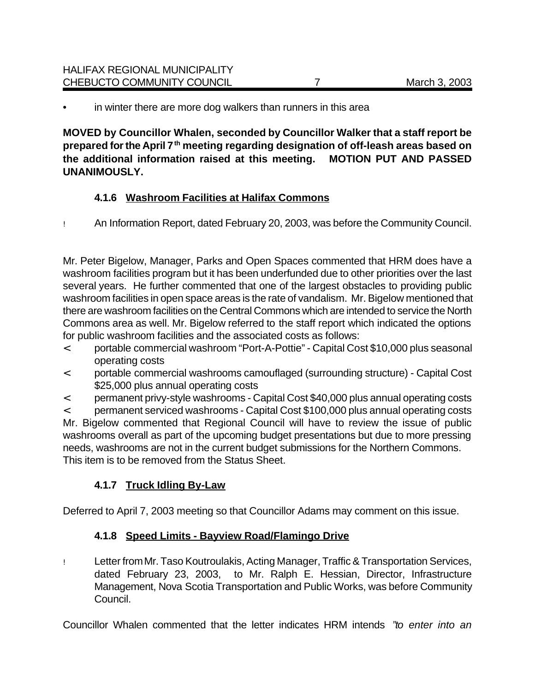in winter there are more dog walkers than runners in this area

**MOVED by Councillor Whalen, seconded by Councillor Walker that a staff report be prepared for the April 7th meeting regarding designation of off-leash areas based on the additional information raised at this meeting. MOTION PUT AND PASSED UNANIMOUSLY.**

# **4.1.6 Washroom Facilities at Halifax Commons**

! An Information Report, dated February 20, 2003, was before the Community Council.

Mr. Peter Bigelow, Manager, Parks and Open Spaces commented that HRM does have a washroom facilities program but it has been underfunded due to other priorities over the last several years. He further commented that one of the largest obstacles to providing public washroom facilities in open space areas is the rate of vandalism. Mr. Bigelow mentioned that there are washroom facilities on the Central Commons which are intended to service the North Commons area as well. Mr. Bigelow referred to the staff report which indicated the options for public washroom facilities and the associated costs as follows:

- < portable commercial washroom "Port-A-Pottie" Capital Cost \$10,000 plus seasonal operating costs
- < portable commercial washrooms camouflaged (surrounding structure) Capital Cost \$25,000 plus annual operating costs
- < permanent privy-style washrooms Capital Cost \$40,000 plus annual operating costs

< permanent serviced washrooms - Capital Cost \$100,000 plus annual operating costs Mr. Bigelow commented that Regional Council will have to review the issue of public washrooms overall as part of the upcoming budget presentations but due to more pressing needs, washrooms are not in the current budget submissions for the Northern Commons. This item is to be removed from the Status Sheet.

### **4.1.7 Truck Idling By-Law**

Deferred to April 7, 2003 meeting so that Councillor Adams may comment on this issue.

### **4.1.8 Speed Limits - Bayview Road/Flamingo Drive**

! Letter fromMr. Taso Koutroulakis, Acting Manager, Traffic & Transportation Services, dated February 23, 2003, to Mr. Ralph E. Hessian, Director, Infrastructure Management, Nova Scotia Transportation and Public Works, was before Community Council.

Councillor Whalen commented that the letter indicates HRM intends *"to enter into an*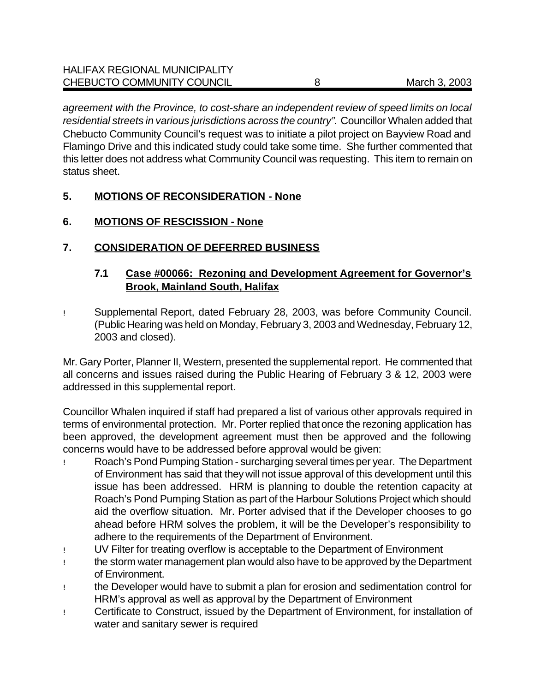*agreement with the Province, to cost-share an independent review of speed limits on local residential streets in various jurisdictions across the country"*. Councillor Whalen added that Chebucto Community Council's request was to initiate a pilot project on Bayview Road and Flamingo Drive and this indicated study could take some time. She further commented that this letter does not address what Community Council was requesting. This item to remain on status sheet.

# **5. MOTIONS OF RECONSIDERATION - None**

### **6. MOTIONS OF RESCISSION - None**

# **7. CONSIDERATION OF DEFERRED BUSINESS**

### **7.1 Case #00066: Rezoning and Development Agreement for Governor's Brook, Mainland South, Halifax**

! Supplemental Report, dated February 28, 2003, was before Community Council. (Public Hearing was held on Monday, February 3, 2003 and Wednesday, February 12, 2003 and closed).

Mr. Gary Porter, Planner II, Western, presented the supplemental report. He commented that all concerns and issues raised during the Public Hearing of February 3 & 12, 2003 were addressed in this supplemental report.

Councillor Whalen inquired if staff had prepared a list of various other approvals required in terms of environmental protection. Mr. Porter replied that once the rezoning application has been approved, the development agreement must then be approved and the following concerns would have to be addressed before approval would be given:

- ! Roach's Pond Pumping Station surcharging several times per year. The Department of Environment has said that they will not issue approval of this development until this issue has been addressed. HRM is planning to double the retention capacity at Roach's Pond Pumping Station as part of the Harbour Solutions Project which should aid the overflow situation. Mr. Porter advised that if the Developer chooses to go ahead before HRM solves the problem, it will be the Developer's responsibility to adhere to the requirements of the Department of Environment.
- ! UV Filter for treating overflow is acceptable to the Department of Environment
- ! the storm water management plan would also have to be approved by the Department of Environment.
- ! the Developer would have to submit a plan for erosion and sedimentation control for HRM's approval as well as approval by the Department of Environment
- ! Certificate to Construct, issued by the Department of Environment, for installation of water and sanitary sewer is required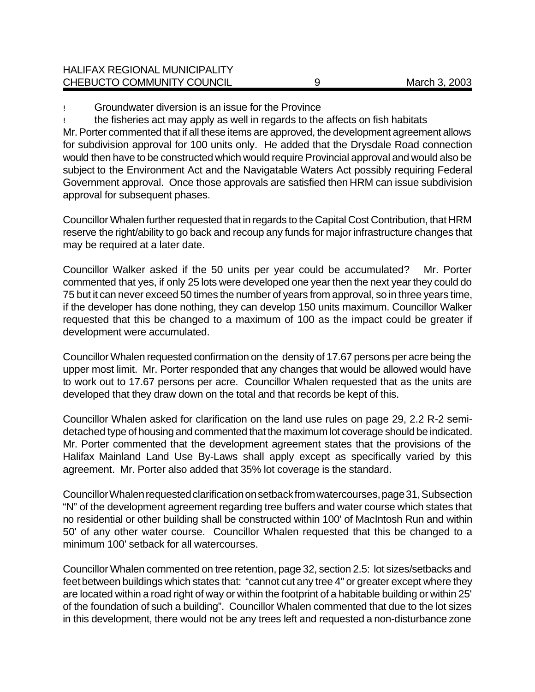approval for subsequent phases.

! Groundwater diversion is an issue for the Province

the fisheries act may apply as well in regards to the affects on fish habitats Mr. Porter commented that if all these items are approved, the development agreement allows for subdivision approval for 100 units only. He added that the Drysdale Road connection would then have to be constructed which would require Provincial approval and would also be subject to the Environment Act and the Navigatable Waters Act possibly requiring Federal Government approval. Once those approvals are satisfied then HRM can issue subdivision

Councillor Whalen further requested that in regards to the Capital Cost Contribution, that HRM reserve the right/ability to go back and recoup any funds for major infrastructure changes that may be required at a later date.

Councillor Walker asked if the 50 units per year could be accumulated? Mr. Porter commented that yes, if only 25 lots were developed one year then the next year they could do 75 but it can never exceed 50 times the number of years from approval, so in three years time, if the developer has done nothing, they can develop 150 units maximum. Councillor Walker requested that this be changed to a maximum of 100 as the impact could be greater if development were accumulated.

Councillor Whalen requested confirmation on the density of 17.67 persons per acre being the upper most limit. Mr. Porter responded that any changes that would be allowed would have to work out to 17.67 persons per acre. Councillor Whalen requested that as the units are developed that they draw down on the total and that records be kept of this.

Councillor Whalen asked for clarification on the land use rules on page 29, 2.2 R-2 semidetached type of housing and commented that the maximum lot coverage should be indicated. Mr. Porter commented that the development agreement states that the provisions of the Halifax Mainland Land Use By-Laws shall apply except as specifically varied by this agreement. Mr. Porter also added that 35% lot coverage is the standard.

Councillor Whalen requested clarification on setback from watercourses, page 31, Subsection "N" of the development agreement regarding tree buffers and water course which states that no residential or other building shall be constructed within 100' of MacIntosh Run and within 50' of any other water course. Councillor Whalen requested that this be changed to a minimum 100' setback for all watercourses.

Councillor Whalen commented on tree retention, page 32, section 2.5: lot sizes/setbacks and feet between buildings which states that: "cannot cut any tree 4" or greater except where they are located within a road right of way or within the footprint of a habitable building or within 25' of the foundation of such a building". Councillor Whalen commented that due to the lot sizes in this development, there would not be any trees left and requested a non-disturbance zone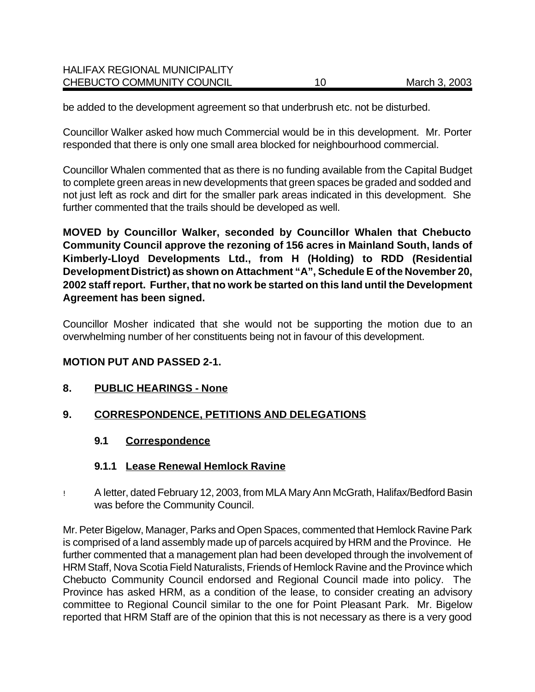| <b>HALIFAX REGIONAL MUNICIPALITY</b> |    |               |
|--------------------------------------|----|---------------|
| CHEBUCTO COMMUNITY COUNCIL           | 10 | March 3, 2003 |

be added to the development agreement so that underbrush etc. not be disturbed.

Councillor Walker asked how much Commercial would be in this development. Mr. Porter responded that there is only one small area blocked for neighbourhood commercial.

Councillor Whalen commented that as there is no funding available from the Capital Budget to complete green areas in new developments that green spaces be graded and sodded and not just left as rock and dirt for the smaller park areas indicated in this development. She further commented that the trails should be developed as well.

**MOVED by Councillor Walker, seconded by Councillor Whalen that Chebucto Community Council approve the rezoning of 156 acres in Mainland South, lands of Kimberly-Lloyd Developments Ltd., from H (Holding) to RDD (Residential Development District) as shown on Attachment "A", Schedule E of the November 20, 2002 staff report. Further, that no work be started on this land until the Development Agreement has been signed.** 

Councillor Mosher indicated that she would not be supporting the motion due to an overwhelming number of her constituents being not in favour of this development.

#### **MOTION PUT AND PASSED 2-1.**

#### **8. PUBLIC HEARINGS - None**

#### **9. CORRESPONDENCE, PETITIONS AND DELEGATIONS**

#### **9.1 Correspondence**

#### **9.1.1 Lease Renewal Hemlock Ravine**

! A letter, dated February 12, 2003, from MLA Mary Ann McGrath, Halifax/Bedford Basin was before the Community Council.

Mr. Peter Bigelow, Manager, Parks and Open Spaces, commented that Hemlock Ravine Park is comprised of a land assembly made up of parcels acquired by HRM and the Province. He further commented that a management plan had been developed through the involvement of HRM Staff, Nova Scotia Field Naturalists, Friends of Hemlock Ravine and the Province which Chebucto Community Council endorsed and Regional Council made into policy. The Province has asked HRM, as a condition of the lease, to consider creating an advisory committee to Regional Council similar to the one for Point Pleasant Park. Mr. Bigelow reported that HRM Staff are of the opinion that this is not necessary as there is a very good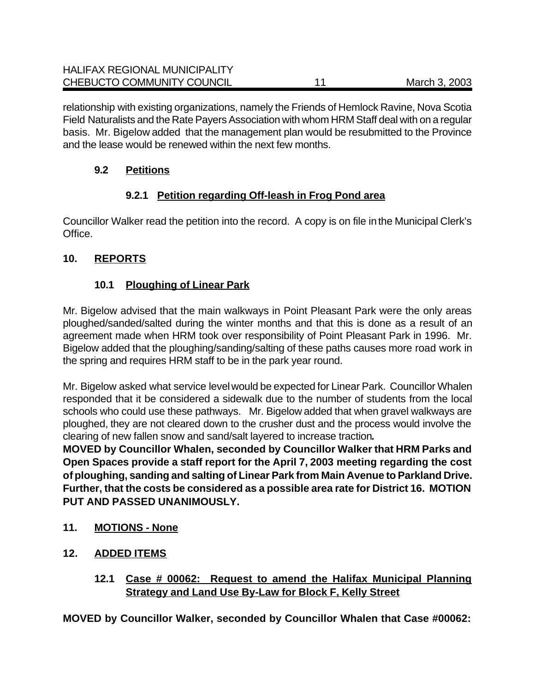relationship with existing organizations, namely the Friends of Hemlock Ravine, Nova Scotia Field Naturalists and the Rate Payers Association with whom HRM Staff deal with on a regular basis. Mr. Bigelow added that the management plan would be resubmitted to the Province and the lease would be renewed within the next few months.

# **9.2 Petitions**

# **9.2.1 Petition regarding Off-leash in Frog Pond area**

Councillor Walker read the petition into the record. A copy is on file in the Municipal Clerk's Office.

# **10. REPORTS**

# **10.1 Ploughing of Linear Park**

Mr. Bigelow advised that the main walkways in Point Pleasant Park were the only areas ploughed/sanded/salted during the winter months and that this is done as a result of an agreement made when HRM took over responsibility of Point Pleasant Park in 1996. Mr. Bigelow added that the ploughing/sanding/salting of these paths causes more road work in the spring and requires HRM staff to be in the park year round.

Mr. Bigelow asked what service level would be expected for Linear Park. Councillor Whalen responded that it be considered a sidewalk due to the number of students from the local schools who could use these pathways. Mr. Bigelow added that when gravel walkways are ploughed, they are not cleared down to the crusher dust and the process would involve the clearing of new fallen snow and sand/salt layered to increase traction**.** 

**MOVED by Councillor Whalen, seconded by Councillor Walker that HRM Parks and Open Spaces provide a staff report for the April 7, 2003 meeting regarding the cost of ploughing, sanding and salting of Linear Park from Main Avenue to Parkland Drive. Further, that the costs be considered as a possible area rate for District 16. MOTION PUT AND PASSED UNANIMOUSLY.**

- **11. MOTIONS None**
- **12. ADDED ITEMS**
	- **12.1 Case # 00062: Request to amend the Halifax Municipal Planning Strategy and Land Use By-Law for Block F, Kelly Street**

**MOVED by Councillor Walker, seconded by Councillor Whalen that Case #00062:**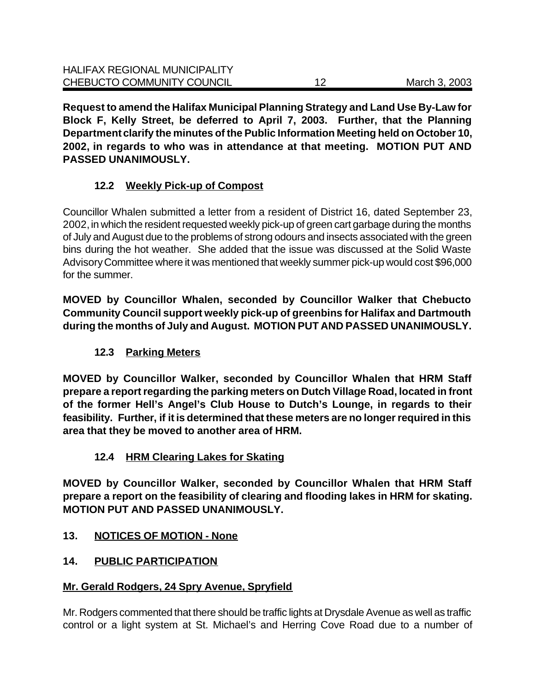**Request to amend the Halifax Municipal Planning Strategy and Land Use By-Law for Block F, Kelly Street, be deferred to April 7, 2003. Further, that the Planning Department clarify the minutes of the Public Information Meeting held on October 10, 2002, in regards to who was in attendance at that meeting. MOTION PUT AND PASSED UNANIMOUSLY.**

# **12.2 Weekly Pick-up of Compost**

Councillor Whalen submitted a letter from a resident of District 16, dated September 23, 2002, in which the resident requested weekly pick-up of green cart garbage during the months of July and August due to the problems of strong odours and insects associated with the green bins during the hot weather. She added that the issue was discussed at the Solid Waste Advisory Committee where it was mentioned that weekly summer pick-up would cost \$96,000 for the summer.

**MOVED by Councillor Whalen, seconded by Councillor Walker that Chebucto Community Council support weekly pick-up of greenbins for Halifax and Dartmouth during the months of July and August. MOTION PUT AND PASSED UNANIMOUSLY.**

# **12.3 Parking Meters**

**MOVED by Councillor Walker, seconded by Councillor Whalen that HRM Staff prepare a report regarding the parking meters on Dutch Village Road, located in front of the former Hell's Angel's Club House to Dutch's Lounge, in regards to their feasibility. Further, if it is determined that these meters are no longer required in this area that they be moved to another area of HRM.** 

# **12.4 HRM Clearing Lakes for Skating**

**MOVED by Councillor Walker, seconded by Councillor Whalen that HRM Staff prepare a report on the feasibility of clearing and flooding lakes in HRM for skating. MOTION PUT AND PASSED UNANIMOUSLY.**

# **13. NOTICES OF MOTION - None**

# **14. PUBLIC PARTICIPATION**

# **Mr. Gerald Rodgers, 24 Spry Avenue, Spryfield**

Mr. Rodgers commented that there should be traffic lights at Drysdale Avenue as well as traffic control or a light system at St. Michael's and Herring Cove Road due to a number of